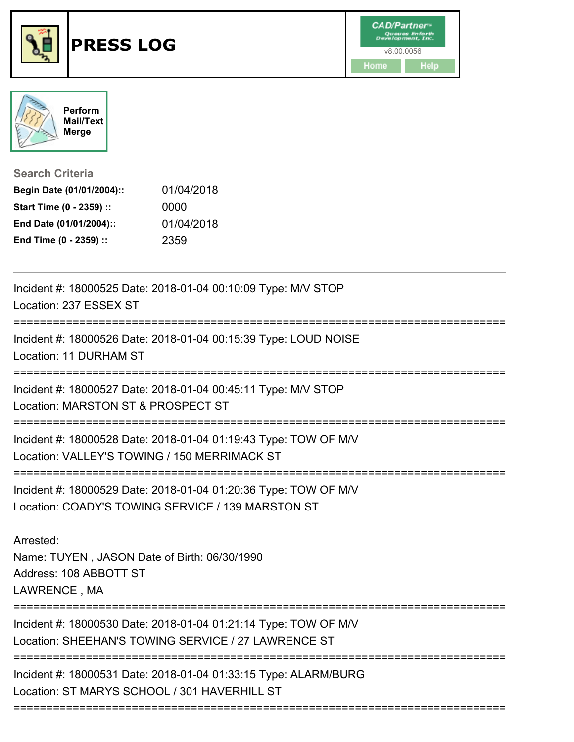



**Search Criteria**

| Begin Date (01/01/2004):: | 01/04/2018 |
|---------------------------|------------|
| Start Time (0 - 2359) ::  | 0000       |
| End Date (01/01/2004)::   | 01/04/2018 |
| End Time (0 - 2359) ::    | 2359       |

| Incident #: 18000525 Date: 2018-01-04 00:10:09 Type: M/V STOP<br>Location: 237 ESSEX ST                                |
|------------------------------------------------------------------------------------------------------------------------|
| Incident #: 18000526 Date: 2018-01-04 00:15:39 Type: LOUD NOISE<br>Location: 11 DURHAM ST                              |
| Incident #: 18000527 Date: 2018-01-04 00:45:11 Type: M/V STOP<br>Location: MARSTON ST & PROSPECT ST                    |
| Incident #: 18000528 Date: 2018-01-04 01:19:43 Type: TOW OF M/V<br>Location: VALLEY'S TOWING / 150 MERRIMACK ST        |
| Incident #: 18000529 Date: 2018-01-04 01:20:36 Type: TOW OF M/V<br>Location: COADY'S TOWING SERVICE / 139 MARSTON ST   |
| Arrested:<br>Name: TUYEN, JASON Date of Birth: 06/30/1990<br>Address: 108 ABBOTT ST<br>LAWRENCE, MA                    |
| Incident #: 18000530 Date: 2018-01-04 01:21:14 Type: TOW OF M/V<br>Location: SHEEHAN'S TOWING SERVICE / 27 LAWRENCE ST |
| Incident #: 18000531 Date: 2018-01-04 01:33:15 Type: ALARM/BURG<br>Location: ST MARYS SCHOOL / 301 HAVERHILL ST        |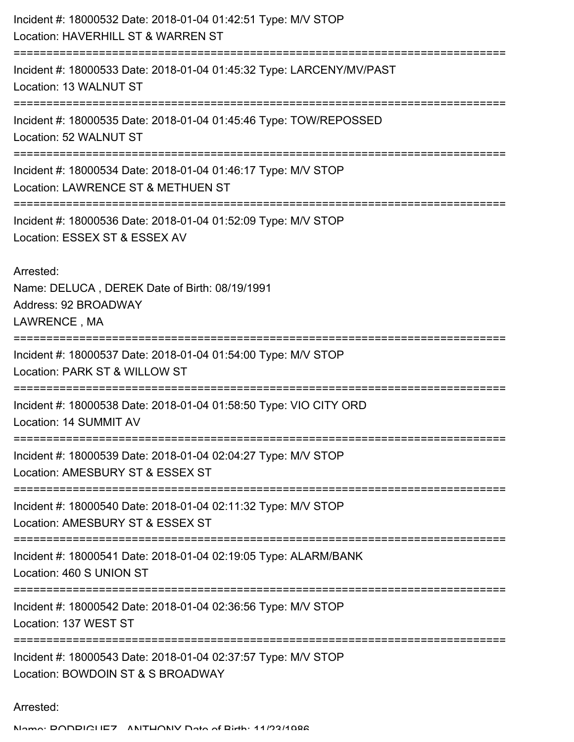| Incident #: 18000532 Date: 2018-01-04 01:42:51 Type: M/V STOP<br>Location: HAVERHILL ST & WARREN ST |
|-----------------------------------------------------------------------------------------------------|
| Incident #: 18000533 Date: 2018-01-04 01:45:32 Type: LARCENY/MV/PAST<br>Location: 13 WALNUT ST      |
| Incident #: 18000535 Date: 2018-01-04 01:45:46 Type: TOW/REPOSSED<br>Location: 52 WALNUT ST         |
| Incident #: 18000534 Date: 2018-01-04 01:46:17 Type: M/V STOP<br>Location: LAWRENCE ST & METHUEN ST |
| Incident #: 18000536 Date: 2018-01-04 01:52:09 Type: M/V STOP<br>Location: ESSEX ST & ESSEX AV      |
| Arrested:<br>Name: DELUCA, DEREK Date of Birth: 08/19/1991<br>Address: 92 BROADWAY<br>LAWRENCE, MA  |
| Incident #: 18000537 Date: 2018-01-04 01:54:00 Type: M/V STOP<br>Location: PARK ST & WILLOW ST      |
| Incident #: 18000538 Date: 2018-01-04 01:58:50 Type: VIO CITY ORD<br>Location: 14 SUMMIT AV         |
| Incident #: 18000539 Date: 2018-01-04 02:04:27 Type: M/V STOP<br>Location: AMESBURY ST & ESSEX ST   |
| Incident #: 18000540 Date: 2018-01-04 02:11:32 Type: M/V STOP<br>Location: AMESBURY ST & ESSEX ST   |
| Incident #: 18000541 Date: 2018-01-04 02:19:05 Type: ALARM/BANK<br>Location: 460 S UNION ST         |
| Incident #: 18000542 Date: 2018-01-04 02:36:56 Type: M/V STOP<br>Location: 137 WEST ST              |
| Incident #: 18000543 Date: 2018-01-04 02:37:57 Type: M/V STOP<br>Location: BOWDOIN ST & S BROADWAY  |

Arrested: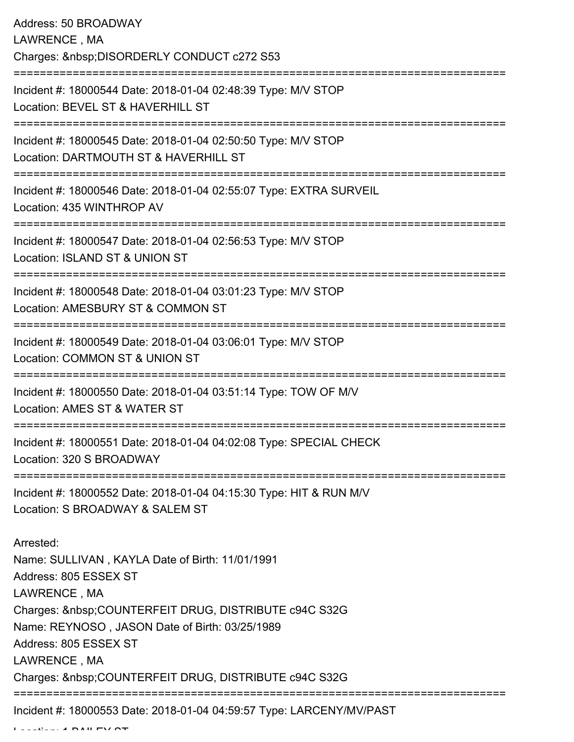| Address: 50 BROADWAY<br>LAWRENCE, MA<br>Charges:  DISORDERLY CONDUCT c272 S53                                                                                                                                                                                                                            |
|----------------------------------------------------------------------------------------------------------------------------------------------------------------------------------------------------------------------------------------------------------------------------------------------------------|
| =====================<br>Incident #: 18000544 Date: 2018-01-04 02:48:39 Type: M/V STOP<br>Location: BEVEL ST & HAVERHILL ST                                                                                                                                                                              |
| Incident #: 18000545 Date: 2018-01-04 02:50:50 Type: M/V STOP<br>Location: DARTMOUTH ST & HAVERHILL ST<br>---------------------                                                                                                                                                                          |
| Incident #: 18000546 Date: 2018-01-04 02:55:07 Type: EXTRA SURVEIL<br>Location: 435 WINTHROP AV                                                                                                                                                                                                          |
| Incident #: 18000547 Date: 2018-01-04 02:56:53 Type: M/V STOP<br>Location: ISLAND ST & UNION ST                                                                                                                                                                                                          |
| Incident #: 18000548 Date: 2018-01-04 03:01:23 Type: M/V STOP<br>Location: AMESBURY ST & COMMON ST                                                                                                                                                                                                       |
| ============<br>Incident #: 18000549 Date: 2018-01-04 03:06:01 Type: M/V STOP<br>Location: COMMON ST & UNION ST                                                                                                                                                                                          |
| Incident #: 18000550 Date: 2018-01-04 03:51:14 Type: TOW OF M/V<br>Location: AMES ST & WATER ST                                                                                                                                                                                                          |
| :===========================<br>Incident #: 18000551 Date: 2018-01-04 04:02:08 Type: SPECIAL CHECK<br>Location: 320 S BROADWAY                                                                                                                                                                           |
| Incident #: 18000552 Date: 2018-01-04 04:15:30 Type: HIT & RUN M/V<br>Location: S BROADWAY & SALEM ST                                                                                                                                                                                                    |
| Arrested:<br>Name: SULLIVAN, KAYLA Date of Birth: 11/01/1991<br>Address: 805 ESSEX ST<br>LAWRENCE, MA<br>Charges:  COUNTERFEIT DRUG, DISTRIBUTE c94C S32G<br>Name: REYNOSO, JASON Date of Birth: 03/25/1989<br>Address: 805 ESSEX ST<br>LAWRENCE, MA<br>Charges:  COUNTERFEIT DRUG, DISTRIBUTE c94C S32G |
| Incident #: 18000553 Date: 2018-01-04 04:59:57 Type: LARCENY/MV/PAST                                                                                                                                                                                                                                     |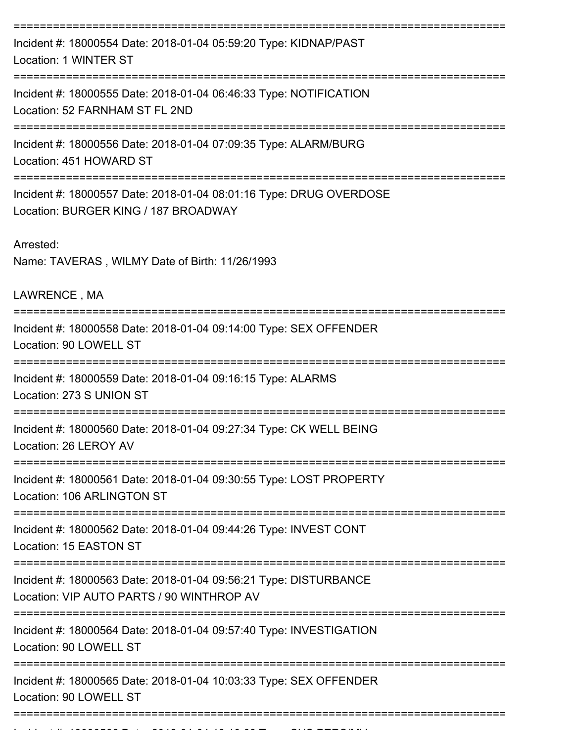| Incident #: 18000554 Date: 2018-01-04 05:59:20 Type: KIDNAP/PAST<br>Location: 1 WINTER ST                     |
|---------------------------------------------------------------------------------------------------------------|
| Incident #: 18000555 Date: 2018-01-04 06:46:33 Type: NOTIFICATION<br>Location: 52 FARNHAM ST FL 2ND           |
| Incident #: 18000556 Date: 2018-01-04 07:09:35 Type: ALARM/BURG<br>Location: 451 HOWARD ST                    |
| Incident #: 18000557 Date: 2018-01-04 08:01:16 Type: DRUG OVERDOSE<br>Location: BURGER KING / 187 BROADWAY    |
| Arrested:<br>Name: TAVERAS, WILMY Date of Birth: 11/26/1993                                                   |
| LAWRENCE, MA                                                                                                  |
| Incident #: 18000558 Date: 2018-01-04 09:14:00 Type: SEX OFFENDER<br>Location: 90 LOWELL ST                   |
| Incident #: 18000559 Date: 2018-01-04 09:16:15 Type: ALARMS<br>Location: 273 S UNION ST                       |
| Incident #: 18000560 Date: 2018-01-04 09:27:34 Type: CK WELL BEING<br>Location: 26 LEROY AV                   |
| Incident #: 18000561 Date: 2018-01-04 09:30:55 Type: LOST PROPERTY<br>Location: 106 ARLINGTON ST              |
| Incident #: 18000562 Date: 2018-01-04 09:44:26 Type: INVEST CONT<br>Location: 15 EASTON ST                    |
| Incident #: 18000563 Date: 2018-01-04 09:56:21 Type: DISTURBANCE<br>Location: VIP AUTO PARTS / 90 WINTHROP AV |
| Incident #: 18000564 Date: 2018-01-04 09:57:40 Type: INVESTIGATION<br>Location: 90 LOWELL ST                  |
| Incident #: 18000565 Date: 2018-01-04 10:03:33 Type: SEX OFFENDER<br>Location: 90 LOWELL ST                   |
|                                                                                                               |

Incident #: 18000566 Date: 2018 01 04 10:10:000566 Date: 2018 01 04 10:10:09 Type: SUS PERS/MVV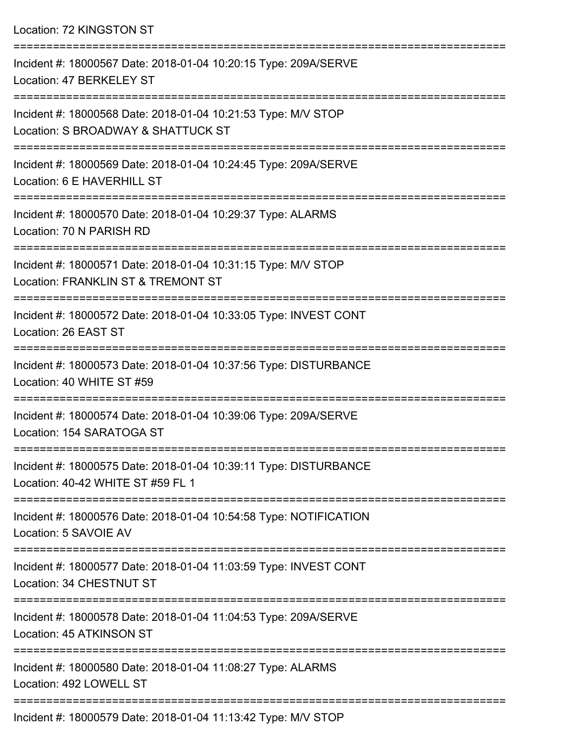| Location: 72 KINGSTON ST                                                                              |
|-------------------------------------------------------------------------------------------------------|
| Incident #: 18000567 Date: 2018-01-04 10:20:15 Type: 209A/SERVE<br>Location: 47 BERKELEY ST           |
| Incident #: 18000568 Date: 2018-01-04 10:21:53 Type: M/V STOP<br>Location: S BROADWAY & SHATTUCK ST   |
| Incident #: 18000569 Date: 2018-01-04 10:24:45 Type: 209A/SERVE<br>Location: 6 E HAVERHILL ST         |
| Incident #: 18000570 Date: 2018-01-04 10:29:37 Type: ALARMS<br>Location: 70 N PARISH RD               |
| Incident #: 18000571 Date: 2018-01-04 10:31:15 Type: M/V STOP<br>Location: FRANKLIN ST & TREMONT ST   |
| Incident #: 18000572 Date: 2018-01-04 10:33:05 Type: INVEST CONT<br>Location: 26 EAST ST              |
| Incident #: 18000573 Date: 2018-01-04 10:37:56 Type: DISTURBANCE<br>Location: 40 WHITE ST #59         |
| Incident #: 18000574 Date: 2018-01-04 10:39:06 Type: 209A/SERVE<br>Location: 154 SARATOGA ST          |
| Incident #: 18000575 Date: 2018-01-04 10:39:11 Type: DISTURBANCE<br>Location: 40-42 WHITE ST #59 FL 1 |
| Incident #: 18000576 Date: 2018-01-04 10:54:58 Type: NOTIFICATION<br>Location: 5 SAVOIE AV            |
| Incident #: 18000577 Date: 2018-01-04 11:03:59 Type: INVEST CONT<br>Location: 34 CHESTNUT ST          |
| Incident #: 18000578 Date: 2018-01-04 11:04:53 Type: 209A/SERVE<br>Location: 45 ATKINSON ST           |
| Incident #: 18000580 Date: 2018-01-04 11:08:27 Type: ALARMS<br>Location: 492 LOWELL ST                |
| ------------------<br>Incident #: 18000579 Date: 2018-01-04 11:13:42 Type: M/V STOP                   |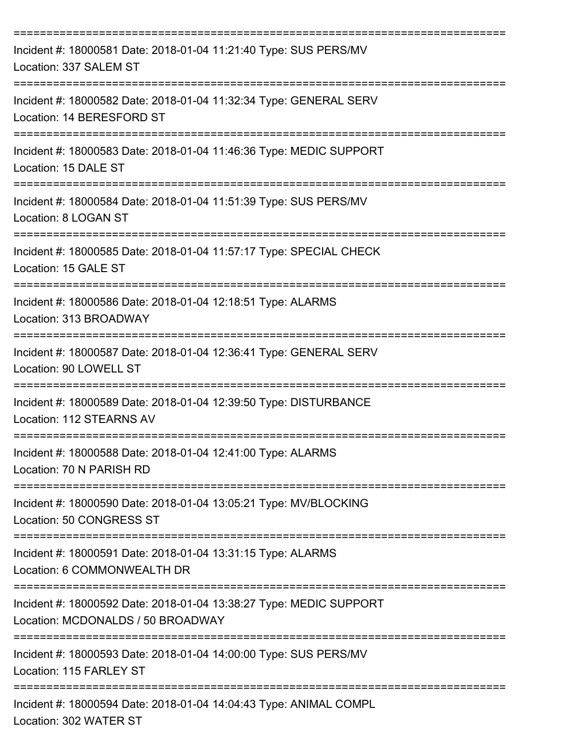| Incident #: 18000581 Date: 2018-01-04 11:21:40 Type: SUS PERS/MV<br>Location: 337 SALEM ST                                                  |
|---------------------------------------------------------------------------------------------------------------------------------------------|
| Incident #: 18000582 Date: 2018-01-04 11:32:34 Type: GENERAL SERV<br>Location: 14 BERESFORD ST                                              |
| Incident #: 18000583 Date: 2018-01-04 11:46:36 Type: MEDIC SUPPORT<br>Location: 15 DALE ST                                                  |
| Incident #: 18000584 Date: 2018-01-04 11:51:39 Type: SUS PERS/MV<br>Location: 8 LOGAN ST                                                    |
| Incident #: 18000585 Date: 2018-01-04 11:57:17 Type: SPECIAL CHECK<br>Location: 15 GALE ST                                                  |
| Incident #: 18000586 Date: 2018-01-04 12:18:51 Type: ALARMS<br>Location: 313 BROADWAY                                                       |
| Incident #: 18000587 Date: 2018-01-04 12:36:41 Type: GENERAL SERV<br>Location: 90 LOWELL ST                                                 |
| Incident #: 18000589 Date: 2018-01-04 12:39:50 Type: DISTURBANCE<br>Location: 112 STEARNS AV                                                |
| Incident #: 18000588 Date: 2018-01-04 12:41:00 Type: ALARMS<br>Location: 70 N PARISH RD<br>-------------------------------                  |
| Incident #: 18000590 Date: 2018-01-04 13:05:21 Type: MV/BLOCKING<br>Location: 50 CONGRESS ST                                                |
| Incident #: 18000591 Date: 2018-01-04 13:31:15 Type: ALARMS<br>Location: 6 COMMONWEALTH DR                                                  |
| ;===============================<br>Incident #: 18000592 Date: 2018-01-04 13:38:27 Type: MEDIC SUPPORT<br>Location: MCDONALDS / 50 BROADWAY |
| Incident #: 18000593 Date: 2018-01-04 14:00:00 Type: SUS PERS/MV<br>Location: 115 FARLEY ST                                                 |
| Incident #: 18000594 Date: 2018-01-04 14:04:43 Type: ANIMAL COMPL                                                                           |

Location: 302 WATER ST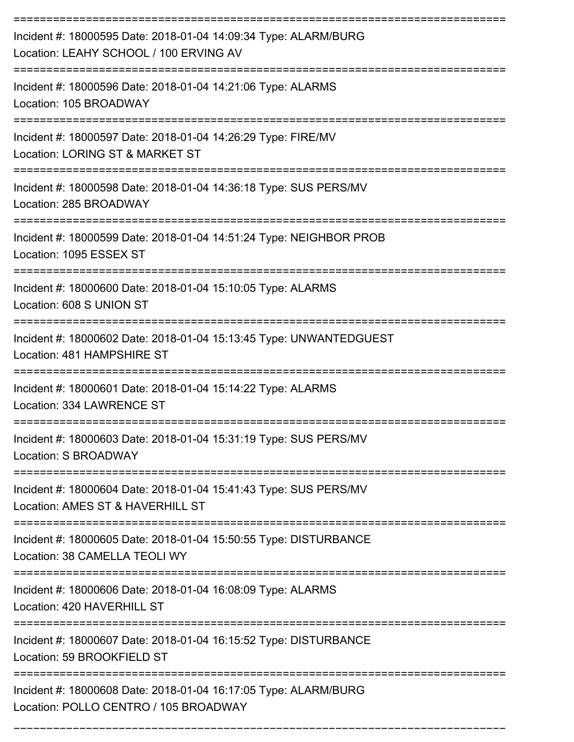| Incident #: 18000595 Date: 2018-01-04 14:09:34 Type: ALARM/BURG<br>Location: LEAHY SCHOOL / 100 ERVING AV |
|-----------------------------------------------------------------------------------------------------------|
| Incident #: 18000596 Date: 2018-01-04 14:21:06 Type: ALARMS<br>Location: 105 BROADWAY                     |
| Incident #: 18000597 Date: 2018-01-04 14:26:29 Type: FIRE/MV<br>Location: LORING ST & MARKET ST           |
| Incident #: 18000598 Date: 2018-01-04 14:36:18 Type: SUS PERS/MV<br>Location: 285 BROADWAY                |
| Incident #: 18000599 Date: 2018-01-04 14:51:24 Type: NEIGHBOR PROB<br>Location: 1095 ESSEX ST             |
| Incident #: 18000600 Date: 2018-01-04 15:10:05 Type: ALARMS<br>Location: 608 S UNION ST                   |
| Incident #: 18000602 Date: 2018-01-04 15:13:45 Type: UNWANTEDGUEST<br>Location: 481 HAMPSHIRE ST          |
| Incident #: 18000601 Date: 2018-01-04 15:14:22 Type: ALARMS<br>Location: 334 LAWRENCE ST                  |
| Incident #: 18000603 Date: 2018-01-04 15:31:19 Type: SUS PERS/MV<br>Location: S BROADWAY                  |
| Incident #: 18000604 Date: 2018-01-04 15:41:43 Type: SUS PERS/MV<br>Location: AMES ST & HAVERHILL ST      |
| Incident #: 18000605 Date: 2018-01-04 15:50:55 Type: DISTURBANCE<br>Location: 38 CAMELLA TEOLI WY         |
| Incident #: 18000606 Date: 2018-01-04 16:08:09 Type: ALARMS<br>Location: 420 HAVERHILL ST                 |
| Incident #: 18000607 Date: 2018-01-04 16:15:52 Type: DISTURBANCE<br>Location: 59 BROOKFIELD ST            |
| Incident #: 18000608 Date: 2018-01-04 16:17:05 Type: ALARM/BURG<br>Location: POLLO CENTRO / 105 BROADWAY  |

===========================================================================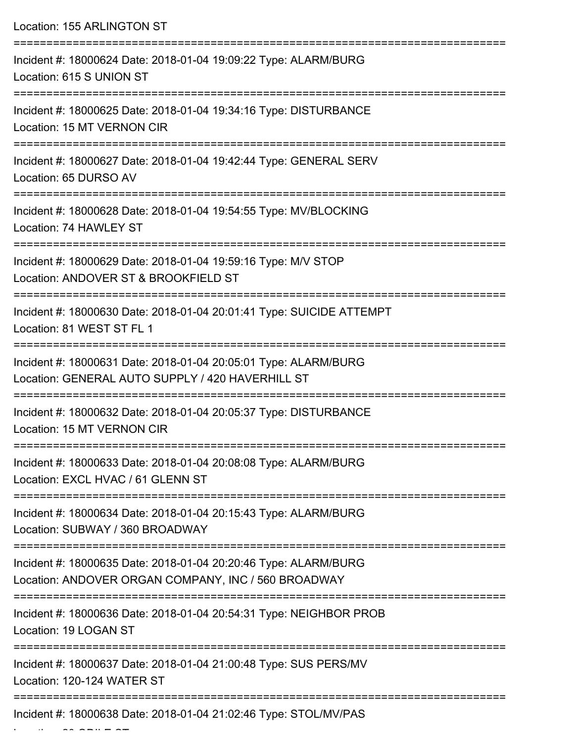| Location: 155 ARLINGTON ST                                                                                             |
|------------------------------------------------------------------------------------------------------------------------|
| Incident #: 18000624 Date: 2018-01-04 19:09:22 Type: ALARM/BURG<br>Location: 615 S UNION ST                            |
| Incident #: 18000625 Date: 2018-01-04 19:34:16 Type: DISTURBANCE<br>Location: 15 MT VERNON CIR                         |
| Incident #: 18000627 Date: 2018-01-04 19:42:44 Type: GENERAL SERV<br>Location: 65 DURSO AV                             |
| Incident #: 18000628 Date: 2018-01-04 19:54:55 Type: MV/BLOCKING<br>Location: 74 HAWLEY ST                             |
| Incident #: 18000629 Date: 2018-01-04 19:59:16 Type: M/V STOP<br>Location: ANDOVER ST & BROOKFIELD ST                  |
| Incident #: 18000630 Date: 2018-01-04 20:01:41 Type: SUICIDE ATTEMPT<br>Location: 81 WEST ST FL 1                      |
| Incident #: 18000631 Date: 2018-01-04 20:05:01 Type: ALARM/BURG<br>Location: GENERAL AUTO SUPPLY / 420 HAVERHILL ST    |
| Incident #: 18000632 Date: 2018-01-04 20:05:37 Type: DISTURBANCE<br>Location: 15 MT VERNON CIR                         |
| Incident #: 18000633 Date: 2018-01-04 20:08:08 Type: ALARM/BURG<br>Location: EXCL HVAC / 61 GLENN ST                   |
| Incident #: 18000634 Date: 2018-01-04 20:15:43 Type: ALARM/BURG<br>Location: SUBWAY / 360 BROADWAY                     |
| Incident #: 18000635 Date: 2018-01-04 20:20:46 Type: ALARM/BURG<br>Location: ANDOVER ORGAN COMPANY, INC / 560 BROADWAY |
| Incident #: 18000636 Date: 2018-01-04 20:54:31 Type: NEIGHBOR PROB<br>Location: 19 LOGAN ST                            |
| Incident #: 18000637 Date: 2018-01-04 21:00:48 Type: SUS PERS/MV<br>Location: 120-124 WATER ST                         |
| Incident #: 18000638 Date: 2018-01-04 21:02:46 Type: STOL/MV/PAS                                                       |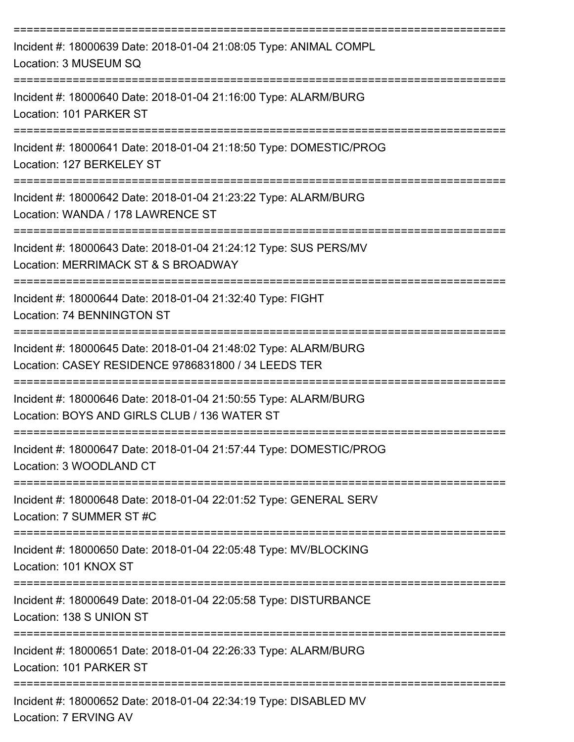| Incident #: 18000639 Date: 2018-01-04 21:08:05 Type: ANIMAL COMPL<br>Location: 3 MUSEUM SQ                                                                            |
|-----------------------------------------------------------------------------------------------------------------------------------------------------------------------|
| Incident #: 18000640 Date: 2018-01-04 21:16:00 Type: ALARM/BURG<br>Location: 101 PARKER ST                                                                            |
| Incident #: 18000641 Date: 2018-01-04 21:18:50 Type: DOMESTIC/PROG<br>Location: 127 BERKELEY ST                                                                       |
| Incident #: 18000642 Date: 2018-01-04 21:23:22 Type: ALARM/BURG<br>Location: WANDA / 178 LAWRENCE ST                                                                  |
| Incident #: 18000643 Date: 2018-01-04 21:24:12 Type: SUS PERS/MV<br>Location: MERRIMACK ST & S BROADWAY                                                               |
| Incident #: 18000644 Date: 2018-01-04 21:32:40 Type: FIGHT<br>Location: 74 BENNINGTON ST                                                                              |
| Incident #: 18000645 Date: 2018-01-04 21:48:02 Type: ALARM/BURG<br>Location: CASEY RESIDENCE 9786831800 / 34 LEEDS TER                                                |
| Incident #: 18000646 Date: 2018-01-04 21:50:55 Type: ALARM/BURG<br>Location: BOYS AND GIRLS CLUB / 136 WATER ST                                                       |
| Incident #: 18000647 Date: 2018-01-04 21:57:44 Type: DOMESTIC/PROG<br>Location: 3 WOODLAND CT                                                                         |
| --------------------------------------<br>--------------------------<br>Incident #: 18000648 Date: 2018-01-04 22:01:52 Type: GENERAL SERV<br>Location: 7 SUMMER ST #C |
| Incident #: 18000650 Date: 2018-01-04 22:05:48 Type: MV/BLOCKING<br>Location: 101 KNOX ST                                                                             |
| =============================<br>Incident #: 18000649 Date: 2018-01-04 22:05:58 Type: DISTURBANCE<br>Location: 138 S UNION ST                                         |
| Incident #: 18000651 Date: 2018-01-04 22:26:33 Type: ALARM/BURG<br>Location: 101 PARKER ST                                                                            |
| Incident #: 18000652 Date: 2018-01-04 22:34:19 Type: DISABLED MV<br>Location: 7 ERVING AV                                                                             |